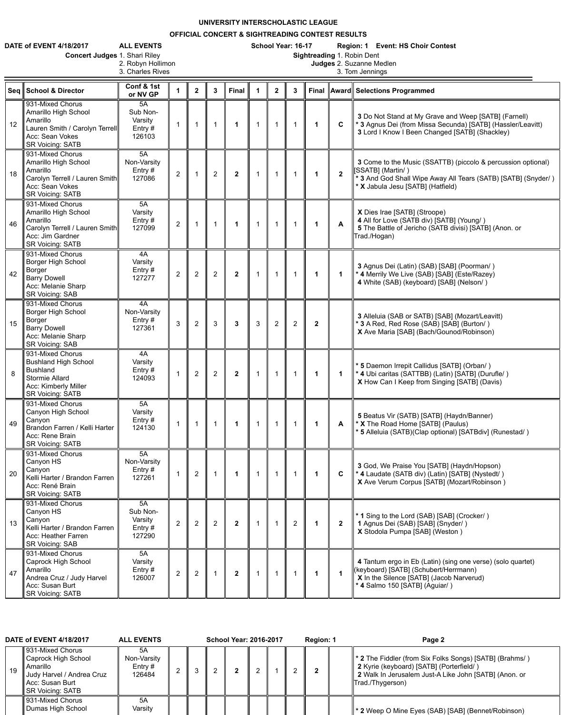## **UNIVERSITY INTERSCHOLASTIC LEAGUE**

## **OFFICIAL CONCERT & SIGHTREADING CONTEST RESULTS**

| <b>DATE of EVENT 4/18/2017</b> | <b>ALL EVENTS</b> | School Year: 16-17 |   | <b>Region: 1 Event: HS Choir Contest</b> |
|--------------------------------|-------------------|--------------------|---|------------------------------------------|
|                                |                   |                    | . |                                          |

**Concert Judges 1. Shari Riley<br>2. Robyn Hollimon<br>3. Charles Rives** 

2. Robyn Hollimon **Judges** 2. Suzanne Medlen

3. Charles Rives **3. Tom Jennings** 

|    | Seq School & Director                                                                                                                          | Conf & 1st<br>or NV GP                           |                | $\mathbf{2}$   | $\mathbf{3}$   | <b>Final</b>     | 1              | $\mathbf{2}$   | $\mathbf{3}$   |                  |                | Final    Award    Selections Programmed                                                                                                                                                             |
|----|------------------------------------------------------------------------------------------------------------------------------------------------|--------------------------------------------------|----------------|----------------|----------------|------------------|----------------|----------------|----------------|------------------|----------------|-----------------------------------------------------------------------------------------------------------------------------------------------------------------------------------------------------|
| 12 | 931-Mixed Chorus<br>Amarillo High School<br>Amarillo<br>Lauren Smith / Carolyn Terrell<br>Acc: Sean Vokes<br><b>SR Voicing: SATB</b>           | 5A<br>Sub Non-<br>Varsity<br>Entry $#$<br>126103 |                |                |                | $\mathbf 1$      | $\mathbf{1}$   |                |                |                  | $\mathbf C$    | 3 Do Not Stand at My Grave and Weep [SATB] (Farnell)<br><b>*3 Agnus Dei (from Missa Secunda) [SATB] (Hassler/Leavitt)</b><br>3 Lord I Know I Been Changed [SATB] (Shackley)                         |
| 18 | 931-Mixed Chorus<br>Amarillo High School<br>Amarillo<br>Carolyn Terrell / Lauren Smith<br>Acc: Sean Vokes<br><b>SR Voicing: SATB</b>           | 5A<br>Non-Varsity<br>Entry $#$<br>127086         | $\overline{2}$ |                | 2              | $\boldsymbol{2}$ |                |                |                |                  | $\overline{2}$ | 3 Come to the Music (SSATTB) (piccolo & percussion optional)<br> [SSATB] (Martin/)<br><sup>*</sup> 3 And God Shall Wipe Away All Tears (SATB) [SATB] (Snyder/)<br>* X Jabula Jesu [SATB] (Hatfield) |
| 46 | 931-Mixed Chorus<br>Amarillo High School<br>Amarillo<br>Carolyn Terrell / Lauren Smith<br>Acc: Jim Gardner<br><b>SR Voicing: SATB</b>          | 5A<br>Varsity<br>Entry#<br>127099                | $\overline{2}$ |                |                | $\mathbf 1$      | $\mathbf{1}$   |                |                |                  | A              | X Dies Irae [SATB] (Stroope)<br>4 All for Love (SATB div) [SATB] (Young/)<br>5 The Battle of Jericho (SATB divisi) [SATB] (Anon. or<br>Trad./Hogan)                                                 |
| 42 | 931-Mixed Chorus<br><b>Borger High School</b><br>Borger<br><b>Barry Dowell</b><br>Acc: Melanie Sharp<br><b>SR Voicing: SAB</b>                 | 4A<br>Varsity<br>Entry $#$<br>127277             | $\overline{2}$ | $\overline{2}$ | $\overline{2}$ | $\boldsymbol{2}$ | $\overline{1}$ |                |                |                  | $\mathbf 1$    | 3 Agnus Dei (Latin) (SAB) [SAB] (Poorman/)<br><sup>*</sup> 4 Merrily We Live (SAB) [SAB] (Este/Razey)<br>4 White (SAB) (keyboard) [SAB] (Nelson/)                                                   |
| 15 | 931-Mixed Chorus<br><b>Borger High School</b><br><b>Borger</b><br><b>Barry Dowell</b><br>Acc: Melanie Sharp<br><b>SR Voicing: SAB</b>          | 4A<br>Non-Varsity<br>Entry $#$<br>127361         | 3              | $\overline{2}$ | 3              | 3                | 3              | $\overline{2}$ | $\overline{2}$ | $\boldsymbol{2}$ |                | 3 Alleluia (SAB or SATB) [SAB] (Mozart/Leavitt)<br>* 3 A Red, Red Rose (SAB) [SAB] (Burton/)<br>X Ave Maria [SAB] (Bach/Gounod/Robinson)                                                            |
| 8  | 931-Mixed Chorus<br><b>Bushland High School</b><br><b>Bushland</b><br><b>Stormie Allard</b><br>Acc: Kimberly Miller<br><b>SR Voicing: SATB</b> | 4A<br>Varsity<br>Entry $#$<br>124093             |                | $\overline{2}$ | $\overline{2}$ | $\mathbf{2}$     |                |                |                |                  | $\mathbf 1$    | * 5 Daemon Irrepit Callidus [SATB] (Orban/)<br><sup>*</sup> 4 Ubi caritas (SATTBB) (Latin) [SATB] (Durufle/)<br>X How Can I Keep from Singing [SATB] (Davis)                                        |
| 49 | 931-Mixed Chorus<br>Canyon High School<br>Canyon<br>Brandon Farren / Kelli Harter<br>Acc: Rene Brain<br><b>SR Voicing: SATB</b>                | 5A<br>Varsity<br>Entry#<br>124130                |                |                |                | 1                | $\overline{1}$ |                |                |                  | A              | 5 Beatus Vir (SATB) [SATB] (Haydn/Banner)<br><b>* X</b> The Road Home [SATB] (Paulus)<br>* 5 Alleluia (SATB)(Clap optional) [SATBdiv] (Runestad/)                                                   |
| 20 | 931-Mixed Chorus<br>Canyon HS<br>Canyon<br>Kelli Harter / Brandon Farren<br>Acc: René Brain<br><b>SR Voicing: SATB</b>                         | 5A<br>Non-Varsity<br>Entry $#$<br>127261         |                | $\overline{2}$ |                |                  |                |                |                |                  | $\mathbf{C}$   | 3 God, We Praise You [SATB] (Haydn/Hopson)<br>∥ * 4 Laudate (SATB div) (Latin) [SATB] (Nystedt/)<br>X Ave Verum Corpus [SATB] (Mozart/Robinson)                                                     |
| 13 | 931-Mixed Chorus<br>Canyon HS<br>Canyon<br>Kelli Harter / Brandon Farren<br>Acc: Heather Farren<br><b>SR Voicing: SAB</b>                      | 5A<br>Sub Non-<br>Varsity<br>Entry $#$<br>127290 | $\overline{2}$ | 2              | 2              | $\mathbf{2}$     | $\mathbf 1$    |                | 2              |                  | $\overline{2}$ | <sup>*</sup> 1 Sing to the Lord (SAB) [SAB] (Crocker/)<br>1 Agnus Dei (SAB) [SAB] (Snyder/)<br>X Stodola Pumpa [SAB] (Weston)                                                                       |
| 47 | 931-Mixed Chorus<br>Caprock High School<br>Amarillo<br>Andrea Cruz / Judy Harvel<br>Acc: Susan Burt<br><b>SR Voicing: SATB</b>                 | 5A<br>Varsity<br>Entry $#$<br>126007             | $\overline{2}$ | 2              |                | $\mathbf{2}$     | $\overline{1}$ |                |                |                  |                | 4 Tantum ergo in Eb (Latin) (sing one verse) (solo quartet)<br>(keyboard) [SATB] (Schubert/Herrmann)<br>X In the Silence [SATB] (Jacob Narverud)<br>* 4 Salmo 150 [SATB] (Aguiar/)                  |

|    | <b>DATE of EVENT 4/18/2017</b>                                                                                                 | <b>ALL EVENTS</b>                        |  | <b>School Year: 2016-2017</b> |  | Region: 1 | Page 2                                                                                                                                                                                    |
|----|--------------------------------------------------------------------------------------------------------------------------------|------------------------------------------|--|-------------------------------|--|-----------|-------------------------------------------------------------------------------------------------------------------------------------------------------------------------------------------|
| 19 | 931-Mixed Chorus<br><b>Caprock High School</b><br>Amarillo<br>Judy Harvel / Andrea Cruz<br>Acc: Susan Burt<br>SR Voicing: SATB | 5A<br>Non-Varsity<br>Entry $#$<br>126484 |  |                               |  |           | <b>1 * 2</b> The Fiddler (from Six Folks Songs) [SATB] (Brahms/)<br>2 Kyrie (keyboard) [SATB] (Porterfield/)<br>2 Walk In Jerusalem Just-A Like John [SATB] (Anon. or<br>Trad./Thygerson) |
|    | 931-Mixed Chorus<br>Dumas High School                                                                                          | 5A<br>Varsity                            |  |                               |  |           | ∥ * 2 Weep O Mine Eyes (SAB) [SAB] (Bennet/Robinson)                                                                                                                                      |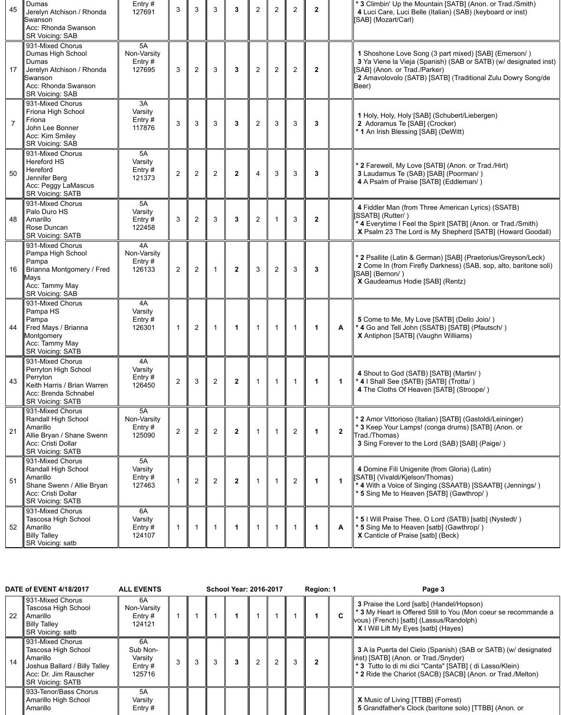| 45 | <b>Dumas</b><br>Jerelyn Atchison / Rhonda<br>Swanson<br>Acc: Rhonda Swanson<br><b>SR Voicing: SAB</b>                                          | Entry#<br>127691                         | 3              | 3              | 3              | $\mathbf{3}$         | $\overline{2}$ | $\overline{2}$ | $\overline{2}$ | $\overline{2}$ |                | * 3 Climbin' Up the Mountain [SATB] (Anon. or Trad./Smith)<br>4 Luci Care, Luci Belle (Italian) (SAB) (keyboard or inst)<br>SAB] (Mozart/Carl)                                                                                   |
|----|------------------------------------------------------------------------------------------------------------------------------------------------|------------------------------------------|----------------|----------------|----------------|----------------------|----------------|----------------|----------------|----------------|----------------|----------------------------------------------------------------------------------------------------------------------------------------------------------------------------------------------------------------------------------|
| 17 | 931-Mixed Chorus<br>Dumas High School<br>Dumas<br>Jerelyn Atchison / Rhonda<br><b>Swanson</b><br>Acc: Rhonda Swanson<br><b>SR Voicing: SAB</b> | 5A<br>Non-Varsity<br>Entry $#$<br>127695 | 3              | $\overline{2}$ | 3              | $\mathbf{3}$         | $\overline{2}$ | 2              | $\overline{2}$ | $\mathbf{2}$   |                | 1 Shoshone Love Song (3 part mixed) [SAB] (Emerson/)<br>3 Ya Viene la Vieja (Spanish) (SAB or SATB) (w/ designated inst)<br>SAB] (Anon. or Trad./Parker)<br>2 Amavolovolo (SATB) [SATB] (Traditional Zulu Dowry Song/de<br>Beer) |
| 7  | 931-Mixed Chorus<br>Friona High School<br>Friona<br>John Lee Bonner<br>Acc: Kim Smiley<br><b>SR Voicing: SAB</b>                               | 3A<br>Varsity<br>Entry $#$<br>117876     | 3              | $\mathbf{3}$   | 3              | $\mathbf{3}$         | $\overline{2}$ | $\mathbf{3}$   | $\mathbf{3}$   | $\mathbf{3}$   |                | 1 Holy, Holy, Holy [SAB] (Schubert/Liebergen)<br>2 Adoramus Te [SAB] (Crocker)<br>* 1 An Irish Blessing [SAB] (DeWitt)                                                                                                           |
| 50 | 931-Mixed Chorus<br><b>Hereford HS</b><br>Hereford<br>Jennifer Berg<br>Acc: Peggy LaMascus<br><b>SR Voicing: SATB</b>                          | 5A<br>Varsity<br>Entry #<br>121373       | $\overline{2}$ | $\overline{2}$ | $\overline{2}$ | $\overline{2}$       | $\overline{4}$ | $\mathbf{3}$   | 3              | $\mathbf{3}$   |                | * 2 Farewell, My Love [SATB] (Anon. or Trad./Hirt)<br>3 Laudamus Te (SAB) [SAB] (Poorman/)<br>4 A Psalm of Praise [SATB] (Eddleman/)                                                                                             |
| 48 | 931-Mixed Chorus<br>Palo Duro HS<br>Amarillo<br>Rose Duncan<br><b>SR Voicing: SATB</b>                                                         | 5A<br>Varsity<br>Entry $#$<br>122458     | 3              | $\overline{2}$ | $\mathfrak{S}$ | $\mathbf{3}$         | $\overline{2}$ |                | 3              | $\mathbf{2}$   |                | 4 Fiddler Man (from Three American Lyrics) (SSATB)<br>[SSATB] (Rutter/)<br>* 4 Everytime I Feel the Spirit [SATB] (Anon. or Trad./Smith)<br>X Psalm 23 The Lord is My Shepherd [SATB] (Howard Goodall)                           |
| 16 | 931-Mixed Chorus<br>Pampa High School<br>Pampa<br>Brianna Montgomery / Fred<br>Mays<br>Acc: Tammy May<br><b>SR Voicing: SAB</b>                | 4A<br>Non-Varsity<br>Entry#<br>126133    | $\overline{2}$ | $\overline{2}$ |                | $\boldsymbol{2}$     | 3              | $\overline{2}$ | 3              | $\mathbf{3}$   |                | * 2 Psallite (Latin & German) [SAB] (Praetorius/Greyson/Leck)<br>2 Come In (from Firefly Darkness) (SAB, sop, alto, baritone soli)<br>[SAB] (Bernon/)<br>X Gaudeamus Hodie [SAB] (Rentz)                                         |
| 44 | 931-Mixed Chorus<br>Pampa HS<br>Pampa<br>Fred Mays / Brianna<br>Montgomery<br>Acc: Tammy May<br><b>SR Voicing: SATB</b>                        | 4A<br>Varsity<br>Entry $#$<br>126301     |                | $\overline{2}$ |                | $\mathbf 1$          |                |                |                |                | A              | 5 Come to Me, My Love [SATB] (Dello Joio/)<br>* 4 Go and Tell John (SSATB) [SATB] (Pfautsch/)<br>X Antiphon [SATB] (Vaughn Williams)                                                                                             |
| 43 | 931-Mixed Chorus<br>Perryton High School<br>Perryton<br>Keith Harris / Brian Warren<br>Acc: Brenda Schnabel<br><b>SR Voicing: SATB</b>         | 4A<br>Varsity<br>Entry $#$<br>126450     | $\overline{2}$ | $\mathfrak{S}$ | 2              | $\boldsymbol{2}$     |                |                |                |                | $\mathbf 1$    | 4 Shout to God (SATB) [SATB] (Martin/)<br>* 4   Shall See (SATB) [SATB] (Trotta/)<br>4 The Cloths Of Heaven [SATB] (Stroope/)                                                                                                    |
| 21 | 931-Mixed Chorus<br>Randall High School<br>Amarillo<br>Allie Bryan / Shane Swenn<br>Acc: Cristi Dollar<br><b>SR Voicing: SATB</b>              | 5A<br>Non-Varsity<br>Entry $#$<br>125090 | $\overline{2}$ | $\overline{2}$ | $\overline{2}$ | $\boldsymbol{2}$     |                |                | $\overline{2}$ |                | $\overline{2}$ | * 2 Amor Vittorioso (Italian) [SATB] (Gastoldi/Leininger)<br>* 3 Keep Your Lamps! (conga drums) [SATB] (Anon. or<br>Trad./Thomas)<br>3 Sing Forever to the Lord (SAB) [SAB] (Paige/)                                             |
| 51 | 931-Mixed Chorus<br>Randall High School<br>Amarillo<br>Shane Swenn / Allie Bryan<br>Acc: Cristi Dollar<br><b>SR Voicing: SATB</b>              | 5A<br>Varsity<br>Entry#<br>127463        |                | $\overline{2}$ | $\overline{2}$ | $\overline{2}$       |                |                | $\overline{2}$ |                | 1              | 4 Domine Fili Unigenite (from Gloria) (Latin)<br>[SATB] (Vivaldi/Kjelson/Thomas)<br>* 4 With a Voice of Singing (SSAATB) [SSAATB] (Jennings/)<br>* 5 Sing Me to Heaven [SATB] (Gawthrop/)                                        |
| 52 | 931-Mixed Chorus<br>Tascosa High School<br>Amarillo<br><b>Billy Talley</b><br>SR Voicing: satb                                                 | 6A<br>Varsity<br>Entry $#$<br>124107     |                |                |                | $\blacktriangleleft$ |                |                |                |                | $\mathbf{A}$   | * 5 I Will Praise Thee, O Lord (SATB) [satb] (Nystedt/)<br>* 5 Sing Me to Heaven [satb] (Gawthrop/)<br>X Canticle of Praise [satb] (Beck)                                                                                        |

|    | <b>DATE of EVENT 4/18/2017</b>                                                                                                    | <b>ALL EVENTS</b>                                |              | <b>School Year: 2016-2017</b> |  | Region: 1 |             | Page 3                                                                                                                                                                                                                                         |
|----|-----------------------------------------------------------------------------------------------------------------------------------|--------------------------------------------------|--------------|-------------------------------|--|-----------|-------------|------------------------------------------------------------------------------------------------------------------------------------------------------------------------------------------------------------------------------------------------|
| 22 | 931-Mixed Chorus<br><b>Tascosa High School</b><br><b>Amarillo</b><br><b>Billy Talley</b><br><b>SR Voicing: satb</b>               | 6A<br>Non-Varsity<br>Entry $#$<br>124121         |              |                               |  |           | $\mathbf C$ | <b>3</b> Praise the Lord [satb] (Handel/Hopson)<br><b>*3</b> My Heart is Offered Still to You (Mon coeur se recommande a<br>vous) (French) [satb] (Lassus/Randolph)<br>X I Will Lift My Eyes [satb] (Hayes)                                    |
| 14 | 931-Mixed Chorus<br>Tascosa High School<br>Amarillo<br>Joshua Ballard / Billy Talley<br>Acc: Dr. Jim Rauscher<br>SR Voicing: SATB | 6A<br>Sub Non-<br>Varsity<br>Entry $#$<br>125716 | $\mathbf{3}$ | 3                             |  |           |             | 3 A la Puerta del Cielo (Spanish) (SAB or SATB) (w/ designated<br>linst) [SATB] (Anon. or Trad./Snyder)<br>∥ * 3 Tutto lo di mi dici "Canta" [SATB] ( di Lasso/Klein)<br><sup>2</sup> 2 Ride the Chariot (SACB) [SACB] (Anon. or Trad./Melton) |
|    | 933-Tenor/Bass Chorus<br>Amarillo High School<br>Amarillo                                                                         | 5A<br>Varsity<br>Entry #                         |              |                               |  |           |             | <b>X</b> Music of Living [TTBB] (Forrest)<br>5 Grandfather's Clock (baritone solo) [TTBB] (Anon. or                                                                                                                                            |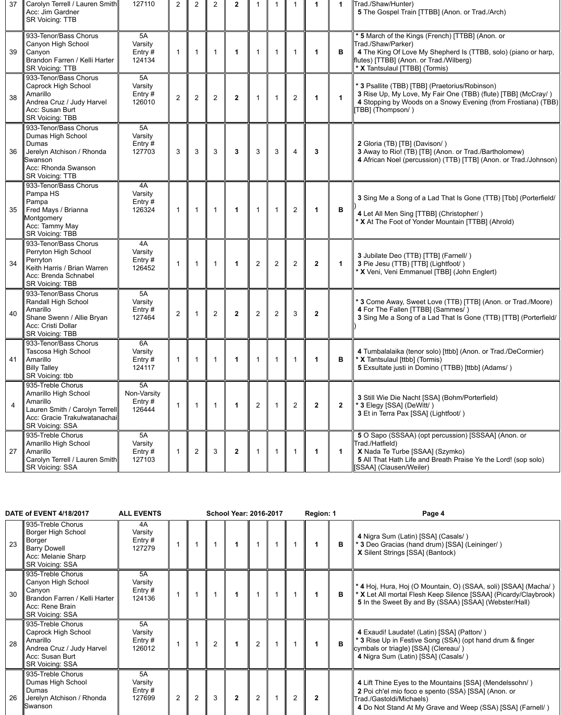| 37                      | Carolyn Terrell / Lauren Smith<br>Acc: Jim Gardner<br><b>SR Voicing: TTB</b>                                                                      | 127110                                   |                | $\overline{2}$ | 2              |              |                |                |                |                |                | Trad./Shaw/Hunter)<br>5 The Gospel Train [TTBB] (Anon. or Trad./Arch)                                                                                                                                                 |
|-------------------------|---------------------------------------------------------------------------------------------------------------------------------------------------|------------------------------------------|----------------|----------------|----------------|--------------|----------------|----------------|----------------|----------------|----------------|-----------------------------------------------------------------------------------------------------------------------------------------------------------------------------------------------------------------------|
| 39                      | 933-Tenor/Bass Chorus<br>Canyon High School<br>Canyon<br>Brandon Farren / Kelli Harter<br><b>SR Voicing: TTB</b>                                  | 5A<br>Varsity<br>Entry $#$<br>124134     |                |                | $\mathbf 1$    |              |                |                |                |                | B              | * 5 March of the Kings (French) [TTBB] (Anon. or<br>Trad./Shaw/Parker)<br>4 The King Of Love My Shepherd Is (TTBB, solo) (piano or harp,<br>flutes) [TTBB] (Anon. or Trad./Wilberg)<br>* X Tantsulaul [TTBB] (Tormis) |
| 38                      | 933-Tenor/Bass Chorus<br>Caprock High School<br>Amarillo<br>Andrea Cruz / Judy Harvel<br>Acc: Susan Burt<br><b>SR Voicing: TBB</b>                | 5A<br>Varsity<br>Entry #<br>126010       | $\overline{2}$ | $\overline{2}$ | $\overline{2}$ | $\mathbf{2}$ |                |                | $\overline{2}$ |                | 1              | * 3 Psallite (TBB) [TBB] (Praetorius/Robinson)<br>3 Rise Up, My Love, My Fair One (TBB) (flute) [TBB] (McCray/)<br>4 Stopping by Woods on a Snowy Evening (from Frostiana) (TBB)<br>TBB] (Thompson/)                  |
| 36                      | 933-Tenor/Bass Chorus<br>Dumas High School<br>Dumas<br>Jerelyn Atchison / Rhonda<br>Swanson<br>Acc: Rhonda Swanson<br><b>SR Voicing: TTB</b>      | 5A<br>Varsity<br>Entry#<br>127703        | 3              | 3              | 3              | 3            | 3              | 3              | $\overline{4}$ | 3              |                | 2 Gloria (TB) [TB] (Davison/)<br>3 Away to Rio! (TB) [TB] (Anon. or Trad./Bartholomew)<br>4 African Noel (percussion) (TTB) [TTB] (Anon. or Trad./Johnson)                                                            |
| 35                      | 933-Tenor/Bass Chorus<br>Pampa HS<br>Pampa<br>Fred Mays / Brianna<br>Montgomery<br>Acc: Tammy May<br><b>SR Voicing: TBB</b>                       | 4A<br>Varsity<br>Entry $#$<br>126324     |                |                | $\mathbf 1$    |              |                |                | $\overline{2}$ |                | B              | 3 Sing Me a Song of a Lad That Is Gone (TTB) [Tbb] (Porterfield/<br>4 Let All Men Sing [TTBB] (Christopher/)<br>* X At The Foot of Yonder Mountain [TTBB] (Ahrold)                                                    |
| 34                      | 933-Tenor/Bass Chorus<br>Perryton High School<br>Perryton<br>Keith Harris / Brian Warren<br>Acc: Brenda Schnabel<br><b>SR Voicing: TBB</b>        | 4A<br>Varsity<br>Entry#<br>126452        |                |                |                |              | $\overline{2}$ | $\overline{2}$ | $\overline{2}$ | $\mathbf{2}$   |                | 3 Jubilate Deo (TTB) [TTB] (Farnell/)<br>3 Pie Jesu (TTB) [TTB] (Lightfoot/)<br>* X Veni, Veni Emmanuel [TBB] (John Englert)                                                                                          |
| 40                      | 933-Tenor/Bass Chorus<br><b>Randall High School</b><br>Amarillo<br>Shane Swenn / Allie Bryan<br>Acc: Cristi Dollar<br><b>SR Voicing: TBB</b>      | 5A<br>Varsity<br>Entry #<br>127464       | $\overline{2}$ |                | $\overline{2}$ | $\mathbf{2}$ | $\overline{2}$ | $\overline{2}$ | 3              | $\overline{2}$ |                | * 3 Come Away, Sweet Love (TTB) [TTB] (Anon. or Trad./Moore)<br>4 For The Fallen [TTBB] (Sammes/)<br>3 Sing Me a Song of a Lad That Is Gone (TTB) [TTB] (Porterfield/                                                 |
| 41                      | 933-Tenor/Bass Chorus<br><b>Tascosa High School</b><br>Amarillo<br><b>Billy Talley</b><br>SR Voicing: tbb                                         | 6A<br>Varsity<br>Entry $#$<br>124117     |                |                | -1             |              | 1              |                |                |                | B              | 4 Tumbalalaika (tenor solo) [ttbb] (Anon. or Trad./DeCormier)<br>* X Tantsulaul [ttbb] (Tormis)<br>5 Exsultate justi in Domino (TTBB) [ttbb] (Adams/)                                                                 |
| $\overline{\mathbf{4}}$ | 935-Treble Chorus<br>Amarillo High School<br>Amarillo<br>Lauren Smith / Carolyn Terrell<br>Acc: Gracie Trakulwatanachai<br><b>SR Voicing: SSA</b> | 5A<br>Non-Varsity<br>Entry $#$<br>126444 |                |                |                |              | $\overline{2}$ |                | $\overline{2}$ | $\overline{2}$ | $\overline{2}$ | 3 Still Wie Die Nacht [SSA] (Bohm/Porterfield)<br>* 3 Elegy [SSA] (DeWitt/)<br>3 Et in Terra Pax [SSA] (Lightfoot/)                                                                                                   |
| 27                      | 935-Treble Chorus<br>Amarillo High School<br>Amarillo<br>Carolyn Terrell / Lauren Smith<br><b>SR Voicing: SSA</b>                                 | 5A<br>Varsity<br>Entry $#$<br>127103     |                | $\overline{2}$ | 3              | $\mathbf{2}$ | $\mathbf{1}$   |                |                |                | $\mathbf 1$    | 5 O Sapo (SSSAA) (opt percussion) [SSSAA] (Anon. or<br>Trad./Hatfield)<br>X Nada Te Turbe [SSAA] (Szymko)<br>5 All That Hath Life and Breath Praise Ye the Lord! (sop solo)<br>[SSAA] (Clausen/Weiler)                |

| 23 | 935-Treble Chorus<br><b>Borger High School</b><br><b>Borger</b><br><b>Barry Dowell</b><br>Acc: Melanie Sharp<br><b>SR Voicing: SSA</b> | 4A<br>Varsity<br>Entry $#$<br>127279 |                |                |                |                |                | B | 4 Nigra Sum (Latin) [SSA] (Casals/)<br>* 3 Deo Gracias (hand drum) [SSA] (Leininger/)<br>X Silent Strings [SSA] (Bantock)                                                                                |
|----|----------------------------------------------------------------------------------------------------------------------------------------|--------------------------------------|----------------|----------------|----------------|----------------|----------------|---|----------------------------------------------------------------------------------------------------------------------------------------------------------------------------------------------------------|
| 30 | 935-Treble Chorus<br>Canyon High School<br>Canyon<br>Brandon Farren / Kelli Harter<br>Acc: Rene Brain<br><b>SR Voicing: SSA</b>        | 5A<br>Varsity<br>Entry $#$<br>124136 |                |                |                |                |                | B | * 4 Hoj, Hura, Hoj (O Mountain, O) (SSAA, soli) [SSAA] (Macha/)<br>* X Let All mortal Flesh Keep Silence [SSAA] (Picardy/Claybrook)<br>5 In the Sweet By and By (SSAA) [SSAA] (Webster/Hall)             |
| 28 | 935-Treble Chorus<br>Caprock High School<br>Amarillo<br>Andrea Cruz / Judy Harvel<br>Acc: Susan Burt<br><b>SR Voicing: SSA</b>         | 5A<br>Varsity<br>Entry $#$<br>126012 |                | $\overline{2}$ |                | 2              |                | B | 4 Exaudi! Laudate! (Latin) [SSA] (Patton/)<br>* 3 Rise Up in Festive Song (SSA) (opt hand drum & finger<br>cymbals or triagle) [SSA] (Clereau/)<br>4 Nigra Sum (Latin) [SSA] (Casals/)                   |
| 26 | 935-Treble Chorus<br>Dumas High School<br><b>Dumas</b><br>Jerelyn Atchison / Rhonda<br><b>Swanson</b>                                  | 5A<br>Varsity<br>Entry $#$<br>127699 | $\overline{2}$ | 3              | $\overline{2}$ | $\overline{2}$ | $\mathfrak{p}$ |   | 4 Lift Thine Eyes to the Mountains [SSA] (Mendelssohn/)<br>2 Poi ch'el mio foco e spento (SSA) [SSA] (Anon. or<br>Trad./Gastoldi/Michaels)<br>4 Do Not Stand At My Grave and Weep (SSA) [SSA] (Farnell/) |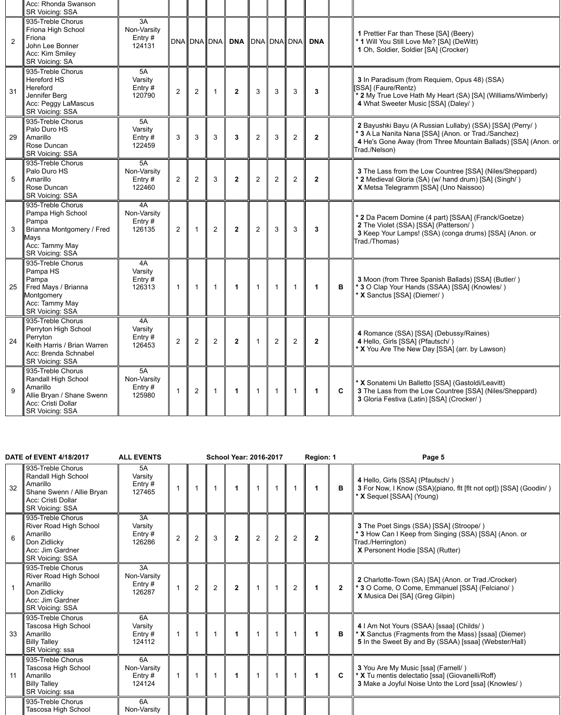|                | Acc: Rhonda Swanson<br><b>SR Voicing: SSA</b>                                                                                          |                                          |                |                |                |                 |                |                |                |                 |             |                                                                                                                                                                                                    |
|----------------|----------------------------------------------------------------------------------------------------------------------------------------|------------------------------------------|----------------|----------------|----------------|-----------------|----------------|----------------|----------------|-----------------|-------------|----------------------------------------------------------------------------------------------------------------------------------------------------------------------------------------------------|
| $\overline{2}$ | 935-Treble Chorus<br>Friona High School<br>Friona<br>John Lee Bonner<br>Acc: Kim Smiley<br><b>SR Voicing: SA</b>                       | 3A<br>Non-Varsity<br>Entry $#$<br>124131 |                |                |                | DNA DNA DNA DNA |                |                |                | DNA DNA DNA DNA |             | <b>1</b> Prettier Far than These [SA] (Beery)<br>* 1 Will You Still Love Me? [SA] (DeWitt)<br>1 Oh, Soldier, Soldier [SA] (Crocker)                                                                |
| 31             | 935-Treble Chorus<br><b>Hereford HS</b><br>Hereford<br>Jennifer Berg<br>Acc: Peggy LaMascus<br><b>SR Voicing: SSA</b>                  | 5A<br>Varsity<br>Entry#<br>120790        | $\overline{2}$ | $\overline{2}$ |                | $\overline{2}$  | 3              | $\mathbf{3}$   | 3              | $\mathbf{3}$    |             | 3 In Paradisum (from Requiem, Opus 48) (SSA)<br>[SSA] (Faure/Rentz)<br>* 2 My True Love Hath My Heart (SA) [SA] (Williams/Wimberly)<br>4 What Sweeter Music [SSA] (Daley/)                         |
| 29             | 935-Treble Chorus<br>Palo Duro HS<br>Amarillo<br>Rose Duncan<br><b>SR Voicing: SSA</b>                                                 | 5A<br>Varsity<br>Entry $#$<br>122459     | $\mathbf{3}$   | $\mathbf{3}$   | 3              | $\mathbf{3}$    | $\overline{2}$ | $\mathbf{3}$   | $\overline{2}$ | $\overline{2}$  |             | 2 Bayushki Bayu (A Russian Lullaby) (SSA) [SSA] (Perry/)<br>* 3 A La Nanita Nana [SSA] (Anon. or Trad./Sanchez)<br>4 He's Gone Away (from Three Mountain Ballads) [SSA] (Anon. or<br>Trad./Nelson) |
| 5              | 935-Treble Chorus<br>Palo Duro HS<br>Amarillo<br>Rose Duncan<br><b>SR Voicing: SSA</b>                                                 | 5A<br>Non-Varsity<br>Entry $#$<br>122460 | $\overline{2}$ | 2              | 3              | $\overline{2}$  | $\overline{2}$ | 2              | $\overline{2}$ | $\overline{2}$  |             | 3 The Lass from the Low Countree [SSA] (Niles/Sheppard)<br>* 2 Medieval Gloria (SA) (w/ hand drum) [SA] (Singh/)<br>X Metsa Telegramm [SSA] (Uno Naissoo)                                          |
| 3              | 935-Treble Chorus<br>Pampa High School<br>Pampa<br>Brianna Montgomery / Fred<br>Mays<br>Acc: Tammy May<br><b>SR Voicing: SSA</b>       | 4A<br>Non-Varsity<br>Entry $#$<br>126135 | $\overline{2}$ |                | $\overline{2}$ | $\overline{2}$  | $\overline{2}$ | $\mathfrak{S}$ | 3              | 3               |             | * 2 Da Pacem Domine (4 part) [SSAA] (Franck/Goetze)<br>2 The Violet (SSA) [SSA] (Patterson/)<br>3 Keep Your Lamps! (SSA) (conga drums) [SSA] (Anon. or<br>Trad./Thomas)                            |
| 25             | 935-Treble Chorus<br>Pampa HS<br>Pampa<br>Fred Mays / Brianna<br>Montgomery<br>Acc: Tammy May<br><b>SR Voicing: SSA</b>                | 4A<br>Varsity<br>Entry $#$<br>126313     |                |                |                |                 |                |                |                |                 | B           | 3 Moon (from Three Spanish Ballads) [SSA] (Butler/)<br>* 3 O Clap Your Hands (SSAA) [SSA] (Knowles/)<br>* X Sanctus [SSA] (Diemer/)                                                                |
| 24             | 935-Treble Chorus<br>Perryton High School<br>Perryton<br>Keith Harris / Brian Warren<br>Acc: Brenda Schnabel<br><b>SR Voicing: SSA</b> | 4A<br>Varsity<br>Entry $#$<br>126453     | $\overline{2}$ | 2              | $\overline{2}$ | $\overline{2}$  |                | $\overline{2}$ | $\overline{2}$ | $\mathbf{2}$    |             | 4 Romance (SSA) [SSA] (Debussy/Raines)<br>4 Hello, Girls [SSA] (Pfautsch/)<br>* X You Are The New Day [SSA] (arr. by Lawson)                                                                       |
| 9              | 935-Treble Chorus<br>Randall High School<br>Amarillo<br>Allie Bryan / Shane Swenn<br>Acc: Cristi Dollar<br><b>SR Voicing: SSA</b>      | 5A<br>Non-Varsity<br>Entry $#$<br>125980 |                | 2              |                |                 |                |                |                |                 | $\mathbf C$ | * X Sonatemi Un Balletto [SSA] (Gastoldi/Leavitt)<br>3 The Lass from the Low Countree [SSA] (Niles/Sheppard)<br>3 Gloria Festiva (Latin) [SSA] (Crocker/)                                          |

|    | <b>DATE of EVENT 4/18/2017</b>                                                                                             | <b>ALL EVENTS</b>                    |  | <b>School Year: 2016-2017</b> |  | Region: 1 | Page 5                                                                                                                                      |
|----|----------------------------------------------------------------------------------------------------------------------------|--------------------------------------|--|-------------------------------|--|-----------|---------------------------------------------------------------------------------------------------------------------------------------------|
| 32 | 935-Treble Chorus<br>Randall High School<br>Amarillo<br>Shane Swenn / Allie Bryan<br>Acc: Cristi Dollar<br>SR Voicing: SSA | 5A<br>Varsity<br>Entry $#$<br>127465 |  |                               |  |           | 4 Hello, Girls [SSA] (Pfautsch/)<br>  3 For Now, I Know (SSA)(piano, fit [fit not opt]) [SSA] (Goodin/)<br><b>T X</b> Sequel [SSAA] (Young) |
|    | <b>LORE Troble Charus</b>                                                                                                  | 2 <sub>0</sub>                       |  |                               |  |           |                                                                                                                                             |

| 6  | 935-Treble Chorus<br><b>River Road High School</b><br>Amarillo<br>Don Zidlicky<br>Acc: Jim Gardner<br><b>SR Voicing: SSA</b> | 3A<br>Varsity<br>Entry $#$<br>126286     | $\overline{2}$ | $\overline{2}$ | 3 | $\mathbf{2}$ | $\overline{2}$ | $\overline{2}$ | $\mathbf{2}$ |              | 3 The Poet Sings (SSA) [SSA] (Stroope/)<br>* 3 How Can I Keep from Singing (SSA) [SSA] (Anon. or<br>Trad./Herrington)<br>X Personent Hodie [SSA] (Rutter)  |
|----|------------------------------------------------------------------------------------------------------------------------------|------------------------------------------|----------------|----------------|---|--------------|----------------|----------------|--------------|--------------|------------------------------------------------------------------------------------------------------------------------------------------------------------|
|    | 935-Treble Chorus<br><b>River Road High School</b><br>Amarillo<br>Don Zidlicky<br>Acc: Jim Gardner<br><b>SR Voicing: SSA</b> | 3A<br>Non-Varsity<br>Entry $#$<br>126287 |                | $\overline{2}$ | 2 | $\mathbf{2}$ |                |                |              | $\mathbf{2}$ | 2 Charlotte-Town (SA) [SA] (Anon. or Trad./Crocker)<br>* 3 O Come, O Come, Emmanuel [SSA] (Felciano/)<br>X Musica Dei [SA] (Greg Gilpin)                   |
| 33 | 935-Treble Chorus<br>Tascosa High School<br>Amarillo<br><b>Billy Talley</b><br>SR Voicing: ssa                               | 6A<br>Varsity<br>Entry $#$<br>124112     |                |                |   | 1            |                |                |              | B            | 4   Am Not Yours (SSAA) [ssaa] (Childs/)<br>* X Sanctus (Fragments from the Mass) [ssaa] (Diemer)<br>5 In the Sweet By and By (SSAA) [ssaa] (Webster/Hall) |
| 11 | 935-Treble Chorus<br>Tascosa High School<br>Amarillo<br><b>Billy Talley</b><br>SR Voicing: ssa                               | 6A<br>Non-Varsity<br>Entry #<br>124124   |                |                |   | -1           |                |                |              | $\mathbf{C}$ | 3 You Are My Music [ssa] (Farnell/)<br>* X Tu mentis delectatio [ssa] (Giovanelli/Roff)<br>3 Make a Joyful Noise Unto the Lord [ssa] (Knowles/)            |
|    | 935-Treble Chorus<br>Tascosa High School                                                                                     | <b>6A</b><br>Non-Varsity                 |                |                |   |              |                |                |              |              |                                                                                                                                                            |